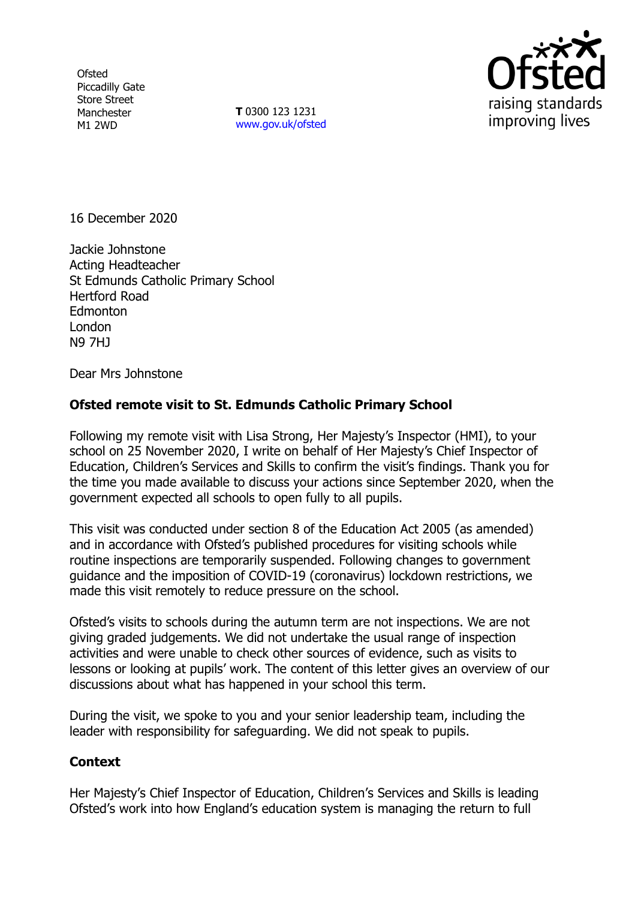**Ofsted** Piccadilly Gate Store Street Manchester M1 2WD

**T** 0300 123 1231 [www.gov.uk/ofsted](http://www.gov.uk/ofsted)



16 December 2020

Jackie Johnstone Acting Headteacher St Edmunds Catholic Primary School Hertford Road Edmonton London N9 7HJ

Dear Mrs Johnstone

## **Ofsted remote visit to St. Edmunds Catholic Primary School**

Following my remote visit with Lisa Strong, Her Majesty's Inspector (HMI), to your school on 25 November 2020, I write on behalf of Her Majesty's Chief Inspector of Education, Children's Services and Skills to confirm the visit's findings. Thank you for the time you made available to discuss your actions since September 2020, when the government expected all schools to open fully to all pupils.

This visit was conducted under section 8 of the Education Act 2005 (as amended) and in accordance with Ofsted's published procedures for visiting schools while routine inspections are temporarily suspended. Following changes to government guidance and the imposition of COVID-19 (coronavirus) lockdown restrictions, we made this visit remotely to reduce pressure on the school.

Ofsted's visits to schools during the autumn term are not inspections. We are not giving graded judgements. We did not undertake the usual range of inspection activities and were unable to check other sources of evidence, such as visits to lessons or looking at pupils' work. The content of this letter gives an overview of our discussions about what has happened in your school this term.

During the visit, we spoke to you and your senior leadership team, including the leader with responsibility for safeguarding. We did not speak to pupils.

## **Context**

Her Majesty's Chief Inspector of Education, Children's Services and Skills is leading Ofsted's work into how England's education system is managing the return to full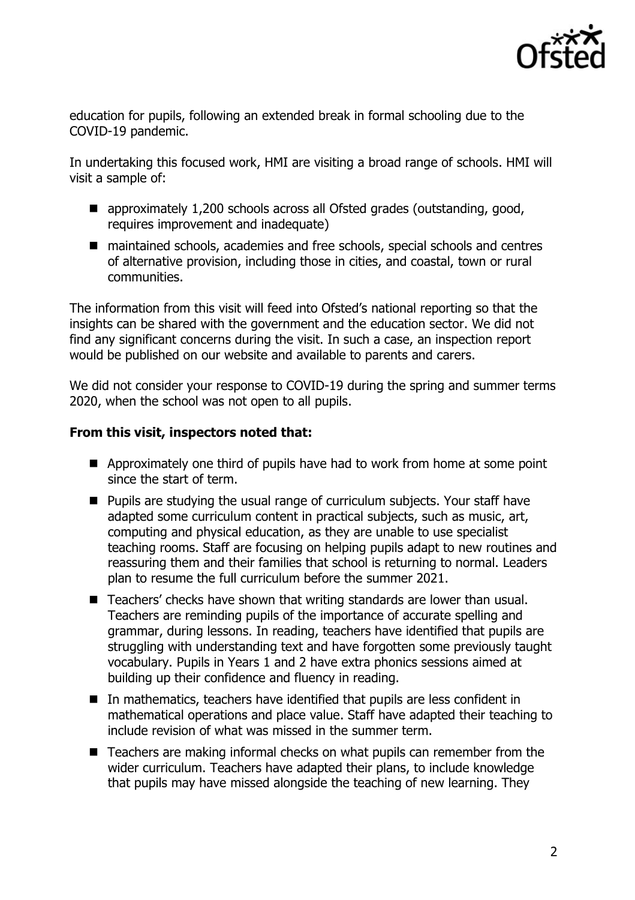

education for pupils, following an extended break in formal schooling due to the COVID-19 pandemic.

In undertaking this focused work, HMI are visiting a broad range of schools. HMI will visit a sample of:

- approximately 1,200 schools across all Ofsted grades (outstanding, good, requires improvement and inadequate)
- maintained schools, academies and free schools, special schools and centres of alternative provision, including those in cities, and coastal, town or rural communities.

The information from this visit will feed into Ofsted's national reporting so that the insights can be shared with the government and the education sector. We did not find any significant concerns during the visit. In such a case, an inspection report would be published on our website and available to parents and carers.

We did not consider your response to COVID-19 during the spring and summer terms 2020, when the school was not open to all pupils.

## **From this visit, inspectors noted that:**

- Approximately one third of pupils have had to work from home at some point since the start of term.
- **Pupils are studying the usual range of curriculum subjects. Your staff have** adapted some curriculum content in practical subjects, such as music, art, computing and physical education, as they are unable to use specialist teaching rooms. Staff are focusing on helping pupils adapt to new routines and reassuring them and their families that school is returning to normal. Leaders plan to resume the full curriculum before the summer 2021.
- Teachers' checks have shown that writing standards are lower than usual. Teachers are reminding pupils of the importance of accurate spelling and grammar, during lessons. In reading, teachers have identified that pupils are struggling with understanding text and have forgotten some previously taught vocabulary. Pupils in Years 1 and 2 have extra phonics sessions aimed at building up their confidence and fluency in reading.
- In mathematics, teachers have identified that pupils are less confident in mathematical operations and place value. Staff have adapted their teaching to include revision of what was missed in the summer term.
- Teachers are making informal checks on what pupils can remember from the wider curriculum. Teachers have adapted their plans, to include knowledge that pupils may have missed alongside the teaching of new learning. They